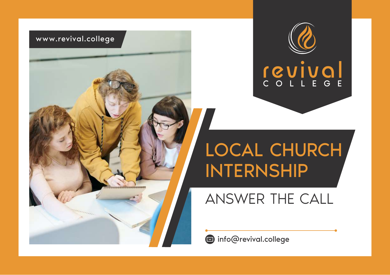



## LOCAL CHURCH INTERNSHIP

ANSWER THE CALL

**info@revival.college**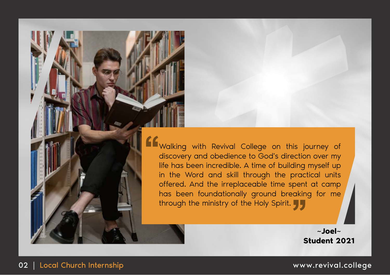**K** Walking with Revival College on this journey of discovery and obedience to God's direction over my life has been incredible. A time of building myself up in the Word and skill through the practical units offered. And the irreplaceable time spent at camp has been foundationally ground breaking for me through the ministry of the Holy Spirit.

> **~Joel~ Student 2021**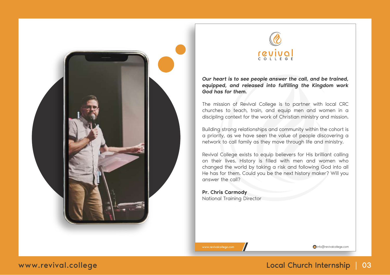



*Our heart is to see people answer the call, and be trained, equipped, and released into fulfilling the Kingdom work God has for them.*

The mission of Revival College is to partner with local CRC churches to teach, train, and equip men and women in a discipling context for the work of Christian ministry and mission.

Building strong relationships and community within the cohort is a priority, as we have seen the value of people discovering a network to call family as they move through life and ministry.

Revival College exists to equip believers for His brilliant calling on their lives. History is filled with men and women who changed the world by taking a risk and following God into all He has for them. Could you be the next history maker? Will you answer the call?

Pr. Chris Carmody National Training Director

www.revivalcollege.com info@revivalcollege.com info@revivalcollege.com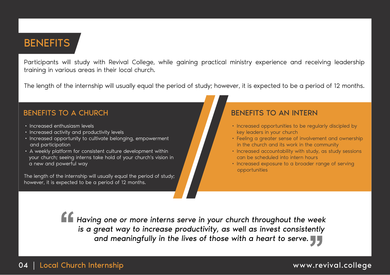### **BENEFITS**

Participants will study with Revival College, while gaining practical ministry experience and receiving leadership training in various areas in their local church.

The length of the internship will usually equal the period of study; however, it is expected to be a period of 12 months.

- Increased enthusiasm levels
- Increased activity and productivity levels
- Increased opportunity to cultivate belonging, empowerment and participation
- A weekly platform for consistent culture development within your church; seeing interns take hold of your church's vision in a new and powerful way

The length of the internship will usually equal the period of study; however, it is expected to be a period of 12 months.

### BENEFITS TO A CHURCH BENEFITS TO AN INTERN

- Increased opportunities to be regularly discipled by key leaders in your church
- Feeling a greater sense of involvement and ownership in the church and its work in the community
- Increased accountability with study, as study sessions can be scheduled into intern hours
- Increased exposure to a broader range of serving opportunities

*Having one or more interns serve in your church throughout the week is a great way to increase productivity, as well as invest consistently and meaningfully in the lives of those with a heart to serve.*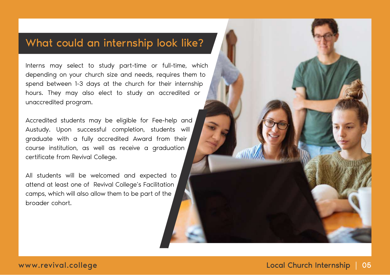### What could an internship look like?

Interns may select to study part-time or full-time, which depending on your church size and needs, requires them to spend between 1-3 days at the church for their internship hours. They may also elect to study an accredited or unaccredited program.

Accredited students may be eligible for Fee-help and Austudy. Upon successful completion, students will graduate with a fully accredited Award from their course institution, as well as receive a graduation certificate from Revival College.

All students will be welcomed and expected to attend at least one of Revival College's Facilitation camps, which will also allow them to be part of the broader cohort.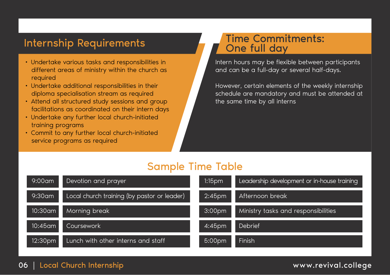- Undertake various tasks and responsibilities in different areas of ministry within the church as required
- Undertake additional responsibilities in their diploma specialisation stream as required
- Attend all structured study sessions and group facilitations as coordinated on their intern days
- Undertake any further local church-initiated training programs
- Commit to any further local church-initiated service programs as required

### Internship Requirements Time Commitments: One full day

Intern hours may be flexible between participants and can be a full-day or several half-days.

However, certain elements of the weekly internship schedule are mandatory and must be attended at the same time by all interns

### Sample Time Table

| $9:00$ am  | Devotion and prayer                         | $1:15$ pm          | Leadership development or in-house training |
|------------|---------------------------------------------|--------------------|---------------------------------------------|
| $9:30$ am  | Local church training (by pastor or leader) | 2:45 <sub>pm</sub> | Afternoon break                             |
| 10:30am    | Morning break                               | 3:00 <sub>pm</sub> | Ministry tasks and responsibilities         |
| $10:45$ am | Coursework                                  | 4:45pm             | Debrief                                     |
| 12:30pm    | Lunch with other interns and staff          | 5:00pm             | Finish                                      |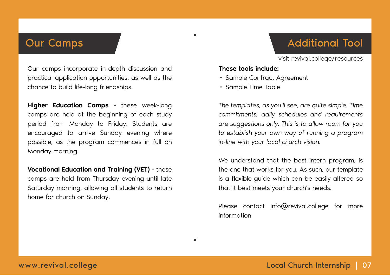Our camps incorporate in-depth discussion and practical application opportunities, as well as the chance to build life-long friendships.

Higher Education Camps - these week-long camps are held at the beginning of each study period from Monday to Friday. Students are encouraged to arrive Sunday evening where possible, as the program commences in full on Monday morning.

Vocational Education and Training (VET) - these camps are held from Thursday evening until late Saturday morning, allowing all students to return home for church on Sunday.

### Our Camps Additional Tool

visit revival.college/resources

### These tools include:

- Sample Contract Agreement
- Sample Time Table

*The templates, as you'll see, are quite simple. Time commitments, daily schedules and requirements are suggestions only. This is to allow room for you to establish your own way of running a program in-line with your local church vision.*

We understand that the best intern program, is the one that works for you. As such, our template is a flexible guide which can be easily altered so that it best meets your church's needs.

Please contact info@revival.college for more information